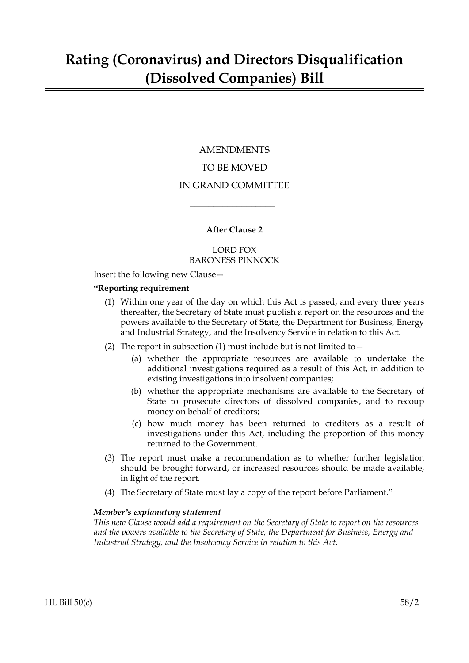### AMENDMENTS TO BE MOVED IN GRAND COMMITTEE

#### **After Clause 2**

 $\overline{\phantom{a}}$  , where  $\overline{\phantom{a}}$ 

#### LORD FOX BARONESS PINNOCK

Insert the following new Clause—

#### **"Reporting requirement**

- (1) Within one year of the day on which this Act is passed, and every three years thereafter, the Secretary of State must publish a report on the resources and the powers available to the Secretary of State, the Department for Business, Energy and Industrial Strategy, and the Insolvency Service in relation to this Act.
- (2) The report in subsection (1) must include but is not limited to  $-$ 
	- (a) whether the appropriate resources are available to undertake the additional investigations required as a result of this Act, in addition to existing investigations into insolvent companies;
	- (b) whether the appropriate mechanisms are available to the Secretary of State to prosecute directors of dissolved companies, and to recoup money on behalf of creditors;
	- (c) how much money has been returned to creditors as a result of investigations under this Act, including the proportion of this money returned to the Government.
- (3) The report must make a recommendation as to whether further legislation should be brought forward, or increased resources should be made available, in light of the report.
- (4) The Secretary of State must lay a copy of the report before Parliament."

#### *Member's explanatory statement*

*This new Clause would add a requirement on the Secretary of State to report on the resources and the powers available to the Secretary of State, the Department for Business, Energy and Industrial Strategy, and the Insolvency Service in relation to this Act.*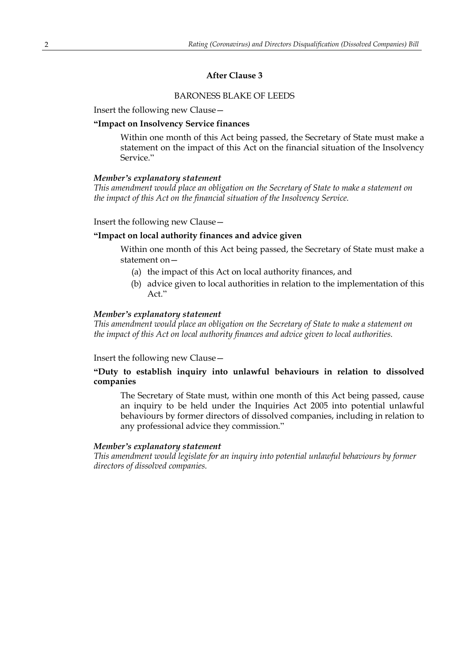#### **After Clause 3**

#### BARONESS BLAKE OF LEEDS

Insert the following new Clause—

#### **"Impact on Insolvency Service finances**

Within one month of this Act being passed, the Secretary of State must make a statement on the impact of this Act on the financial situation of the Insolvency Service."

#### *Member's explanatory statement*

*This amendment would place an obligation on the Secretary of State to make a statement on the impact of this Act on the financial situation of the Insolvency Service.*

Insert the following new Clause—

#### **"Impact on local authority finances and advice given**

Within one month of this Act being passed, the Secretary of State must make a statement on—

- (a) the impact of this Act on local authority finances, and
- (b) advice given to local authorities in relation to the implementation of this Act"

#### *Member's explanatory statement*

*This amendment would place an obligation on the Secretary of State to make a statement on the impact of this Act on local authority finances and advice given to local authorities.*

Insert the following new Clause—

#### **"Duty to establish inquiry into unlawful behaviours in relation to dissolved companies**

The Secretary of State must, within one month of this Act being passed, cause an inquiry to be held under the Inquiries Act 2005 into potential unlawful behaviours by former directors of dissolved companies, including in relation to any professional advice they commission."

#### *Member's explanatory statement*

*This amendment would legislate for an inquiry into potential unlawful behaviours by former directors of dissolved companies.*